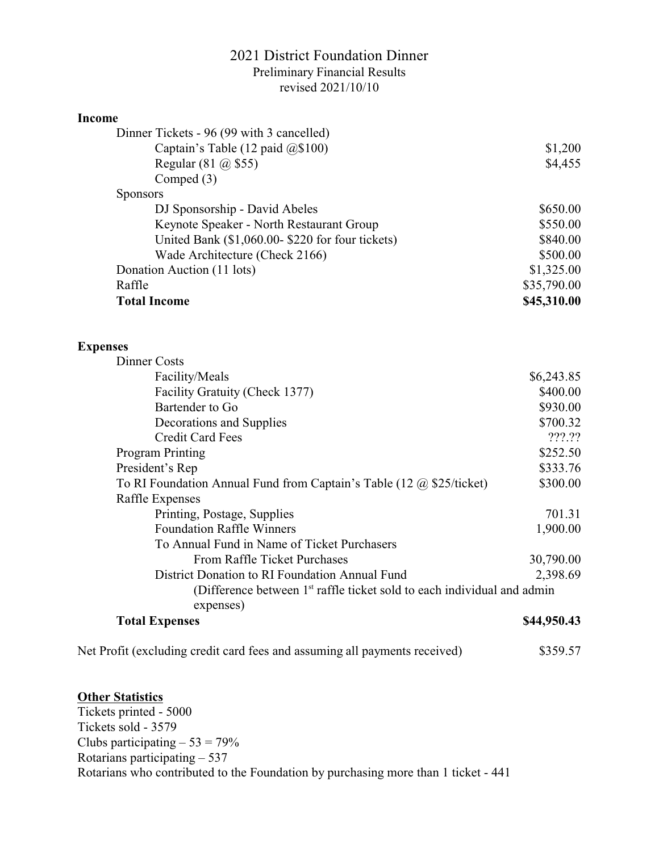## 2021 District Foundation Dinner Preliminary Financial Results revised 2021/10/10

## **Income**

| Dinner Tickets - 96 (99 with 3 cancelled)       |             |
|-------------------------------------------------|-------------|
| Captain's Table (12 paid $(2)$ \$100)           | \$1,200     |
| Regular $(81 \omega 1655)$                      | \$4,455     |
| Comped $(3)$                                    |             |
| <b>Sponsors</b>                                 |             |
| DJ Sponsorship - David Abeles                   | \$650.00    |
| Keynote Speaker - North Restaurant Group        | \$550.00    |
| United Bank (\$1,060.00-\$220 for four tickets) | \$840.00    |
| Wade Architecture (Check 2166)                  | \$500.00    |
| Donation Auction (11 lots)                      | \$1,325.00  |
| Raffle                                          | \$35,790.00 |
| <b>Total Income</b>                             | \$45,310.00 |

## **Expenses**

| Dinner Costs                                                                        |             |
|-------------------------------------------------------------------------------------|-------------|
| Facility/Meals                                                                      | \$6,243.85  |
| Facility Gratuity (Check 1377)                                                      | \$400.00    |
| Bartender to Go                                                                     | \$930.00    |
| Decorations and Supplies                                                            | \$700.32    |
| <b>Credit Card Fees</b>                                                             | ???.??      |
| <b>Program Printing</b>                                                             | \$252.50    |
| President's Rep                                                                     | \$333.76    |
| To RI Foundation Annual Fund from Captain's Table (12 $\omega$ \$25/ticket)         | \$300.00    |
| Raffle Expenses                                                                     |             |
| Printing, Postage, Supplies                                                         | 701.31      |
| <b>Foundation Raffle Winners</b>                                                    | 1,900.00    |
| To Annual Fund in Name of Ticket Purchasers                                         |             |
| <b>From Raffle Ticket Purchases</b>                                                 | 30,790.00   |
| District Donation to RI Foundation Annual Fund                                      | 2,398.69    |
| (Difference between 1 <sup>st</sup> raffle ticket sold to each individual and admin |             |
| expenses)                                                                           |             |
| <b>Total Expenses</b>                                                               | \$44,950.43 |
|                                                                                     |             |

Net Profit (excluding credit card fees and assuming all payments received) \$359.57

## **Other Statistics**

Tickets printed - 5000 Tickets sold - 3579 Clubs participating  $-53 = 79\%$ Rotarians participating – 537 Rotarians who contributed to the Foundation by purchasing more than 1 ticket - 441